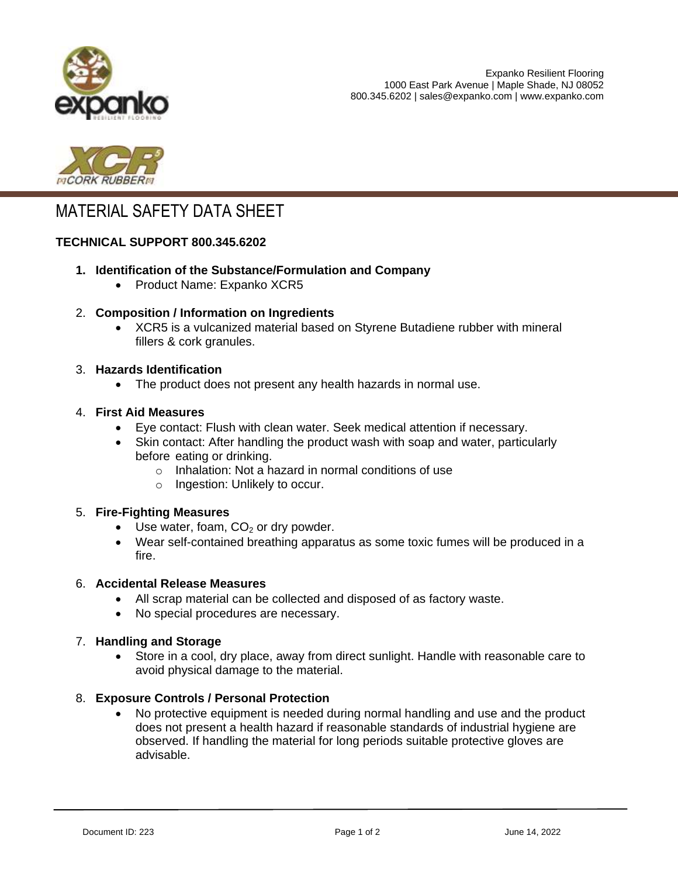



# MATERIAL SAFETY DATA SHEET

## **TECHNICAL SUPPORT 800.345.6202**

- **1. Identification of the Substance/Formulation and Company** 
	- Product Name: Expanko XCR5
- 2. **Composition / Information on Ingredients**
	- XCR5 is a vulcanized material based on Styrene Butadiene rubber with mineral fillers & cork granules.

#### 3. **Hazards Identification**

• The product does not present any health hazards in normal use.

#### 4. **First Aid Measures**

- Eye contact: Flush with clean water. Seek medical attention if necessary.
- Skin contact: After handling the product wash with soap and water, particularly before eating or drinking.
	- o Inhalation: Not a hazard in normal conditions of use
	- o Ingestion: Unlikely to occur.

## 5. **Fire-Fighting Measures**

- Use water, foam,  $CO<sub>2</sub>$  or dry powder.
- Wear self-contained breathing apparatus as some toxic fumes will be produced in a fire.

## 6. **Accidental Release Measures**

- All scrap material can be collected and disposed of as factory waste.
- No special procedures are necessary.

## 7. **Handling and Storage**

 Store in a cool, dry place, away from direct sunlight. Handle with reasonable care to avoid physical damage to the material.

## 8. **Exposure Controls / Personal Protection**

 No protective equipment is needed during normal handling and use and the product does not present a health hazard if reasonable standards of industrial hygiene are observed. If handling the material for long periods suitable protective gloves are advisable.